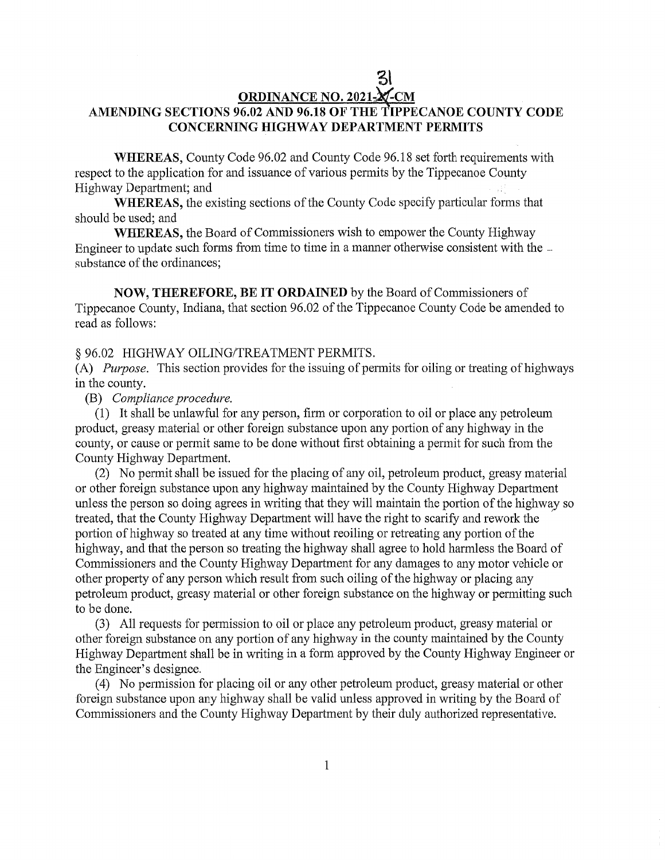# **ORDINANCE** NO. **2021** *M* CM **AMENDING SECTIONS** 96 02 AND 96.18 OF THE **T'IPPECANOE COUNTY CODE CONCERNING HIGHWAY DEPARTMENT** PERMITS

3!

**WHEREAS,** County Code 96. 02 and County Code 96.18 set forth requirements with respect to the application for and issuance of various permits by the Tippecanoe County Highway Department; and

**WHEREAS,** the existing sections of the County Code specify particular forms that should be used; and

**WHEREAS,** the Board of Commissioners wish to empower the County Highway Engineer to update such forms from time to time in a manner otherwise consistent with the  $\overline{\phantom{a}}$ substance of the ordinances;

**NOW,** THEREFORE, BE IT **ORDAINED** by the Board of Commissioners of Tippecanoe County, Indiana, that section 96.02 of the Tippecanoe County Code be amended to read as follows:

#### § 96.02 HIGHWAY OILING/TREATMENT PERMITS.

(A) *Purpose.* This section provides for the issuing of permits for oiling or treating of highways in the county.

#### (B) *Compliance procedure.*

(1) It shall be unlawful for any person, firm or corporation to oil or **place** any petroleum product, greasy material or other foreign substance upon any portion of any highway in the county, or cause or permit same to be done Without first obtaining a permit for **such** from the County Highway Department.

(2) No permit shall be issued for the placing of any oil, petroleum product, greasy material or other foreign substance upon any highway maintained by the County Highway Department unless the person so doing agrees in writing that they will maintain the portion of the highway so treated, that the County Highway Department will have the right to scarify and rework the portion of highway so treated at any time without reoiling or retreating any portion of the highway, and that the person so treating the highway shall agree to hold harmless the Board of Commissioners and the County Highway Department for any damages to any motor vehicle or other property of any person which result from **such** oiling of the highway or placing any petroleum product, greasy material or other foreign substance on the highway or permitting such to be done.

(3) All requests for permission to oil or place any petroleum product, greasy material or other foreign substance on any portion of any highway in the county maintained by the County Highway Department shall be in writing in a form approved by the County Highway Engineer or the Engineer's designee.

(4) No permission for placing oil or any other petroleum product, greasy material or other foreign substance upon any highway shall be valid unless approved in writing by the Board of Commissioners and the County Highway Department by their duly authorized representative.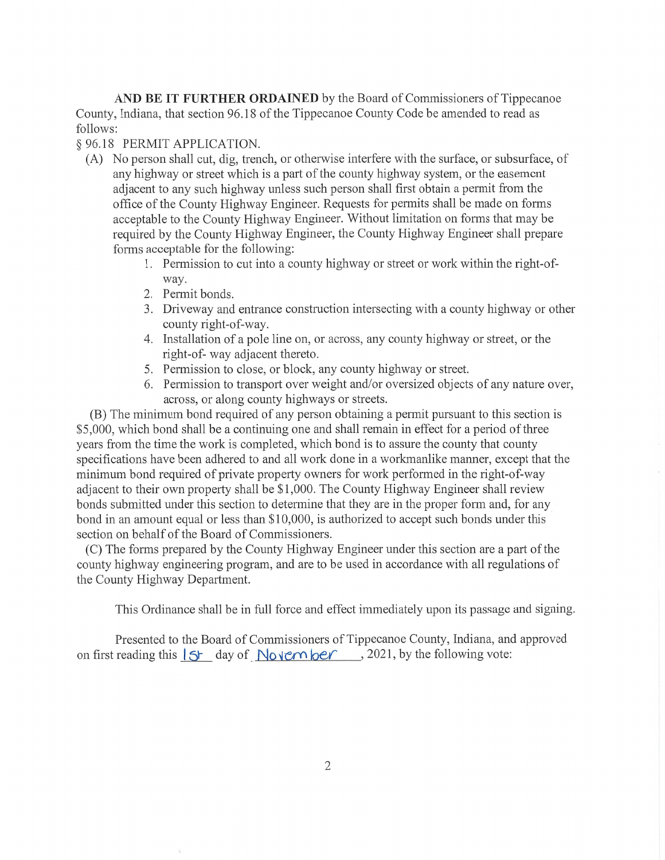AND BE IT **FURTHER ORDAINED** by the Board of Commissioners of Tippecanoe County, Indiana, that section 96.18 of the Tippecanoe County Code be amended to read as follows:

### § 96.18 PERMIT APPLICATION.

- (A) No person shall cut, dig, trench, or otherwise interfere with the surface, or subsurface, of any highway or street **which** is a part of the county highway system, or the easement adjacent to any **such** highway unless such person shall first obtain a permit from the office of the County Highway Engineer. Requests for permits shall be made on forms acceptable to the County Highway Engineer. Without limitation on forms that may be required by the County Highway Engineer, the County Highway Engineer shall prepare forms acceptable for the following:
	- 1. Permission to cut into a county highway or street or work Within the right-ofway.
	- 2. Permit bonds.
	- 3. Driveway and entrance construction intersecting with a county highway or other county right-of-way.
	- 4. Installation of a pole line on, or across, any county highway or street, or the right-of- way adjacent thereto.
	- 5. Permission to close, or block, any county highway or street.
	- 6. Permission to transport over weight and/or oversized objects of any nature over, across, or along county highways or streets.

(B) The minimum bond required of any person obtaining a permit pursuant to this section is \$5,000, which bond shall be a continuing one and shall remain in effect for a period of three years from the time the work is completed, which bond is to assure the county that county specifications have been adhered to and all work done in a workmanlike manner, except that the minimum bond required of private property owners for work performed in the right-of-way adjacent to their own property shall be \$1,000. The County Highway Engineer shall review bonds submitted under this section to determine that they are in the proper form and, for any bond in an amount equal or less than \$10,000, is authorized to accept **such** bonds under this section on behalf of the Board of Commissioners.

(C) The forms prepared by the County Highway Engineer under this section are a part of the county highway engineering program, and are to be used in accordance with all regulations of the County Highway Department.

This Ordinance shall be in full force and effect immediately upon its passage and signing.

Presented to the Board of Commissioners of Tippecanoe County, Indiana, and approved on first reading this  $|S_f|$  day of November, 2021, by the following vote: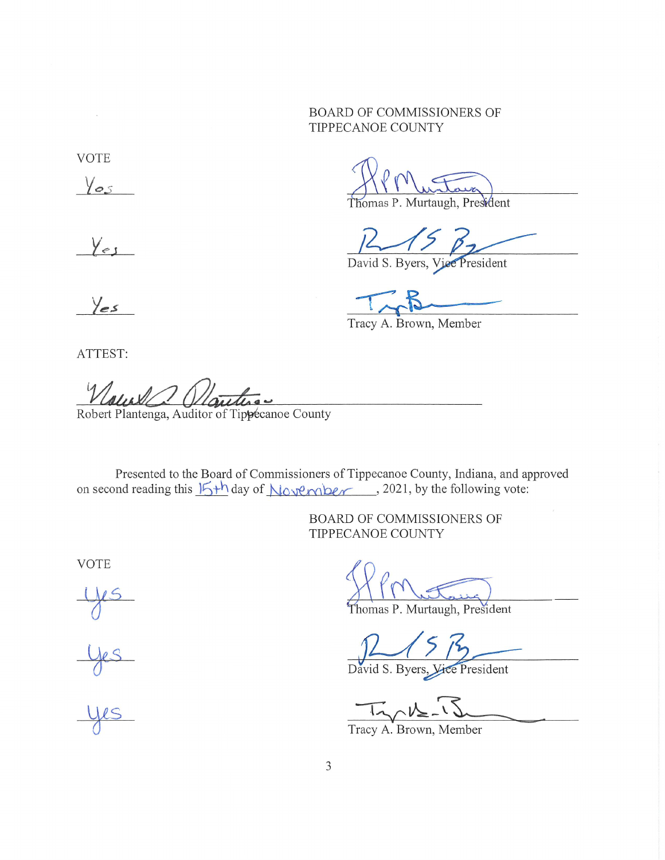## **BOARD OF COMMISSIONERS OF** TIPPECANOE COUNTY

**VOTE** 

 $\lambda$ 

 $\sqrt{0.5}$ 

Yes

Thomas P. Murtaugh, President

David S. Byers, Vice President

Tracy A. Brown, Member

Yes

ATTEST:

Robert Plantenga, Auditor of Tippecanoe County

Presented to the Board of Commissioners of Tippecanoe County, Indiana, and approved on second reading this  $15+h$  day of November, 2021, by the following vote:

> BOARD OF COMMISSIONERS OF TIPPECANOE COUNTY

**VOTE** 

Thomas P. Murtaugh, President

David S. Byers, Vice President

Tracy A. Brown, Member